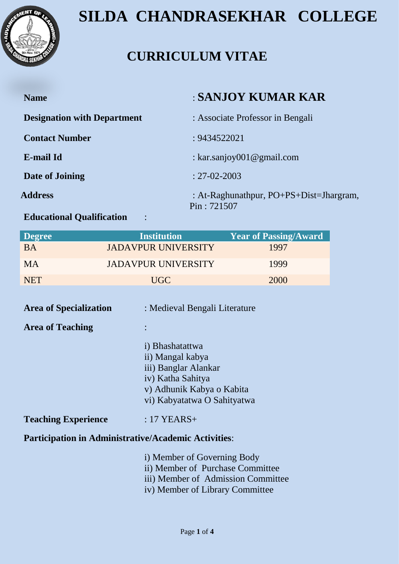

### **CURRICULUM VITAE**

| <b>Name</b>                        | : SANJOY KUMAR KAR                                     |
|------------------------------------|--------------------------------------------------------|
| <b>Designation with Department</b> | : Associate Professor in Bengali                       |
| <b>Contact Number</b>              | : 9434522021                                           |
| <b>E-mail Id</b>                   | : kar.sanjoy001@gmail.com                              |
| Date of Joining                    | $: 27 - 02 - 2003$                                     |
| <b>Address</b>                     | : At-Raghunathpur, PO+PS+Dist=Jhargram,<br>Pin: 721507 |
|                                    |                                                        |

#### **Educational Qualification** :

| <b>Degree</b> | <b>Institution</b>         | <b>Year of Passing/Award</b> |
|---------------|----------------------------|------------------------------|
| <b>BA</b>     | <b>JADAVPUR UNIVERSITY</b> | 1997                         |
| <b>MA</b>     | <b>JADAVPUR UNIVERSITY</b> | 1999                         |
| <b>NET</b>    | UGC.                       | 2000                         |

| <b>Area of Specialization</b>                               | : Medieval Bengali Literature                                                                                                                |  |  |
|-------------------------------------------------------------|----------------------------------------------------------------------------------------------------------------------------------------------|--|--|
| <b>Area of Teaching</b>                                     |                                                                                                                                              |  |  |
|                                                             | i) Bhashatattwa<br>ii) Mangal kabya<br>iii) Banglar Alankar<br>iv) Katha Sahitya<br>v) Adhunik Kabya o Kabita<br>vi) Kabyatatwa O Sahityatwa |  |  |
| <b>Teaching Experience</b>                                  | $:17$ YEARS+                                                                                                                                 |  |  |
| <b>Participation in Administrative/Academic Activities:</b> |                                                                                                                                              |  |  |
|                                                             | i) Member of Governing Body<br>ii) Member of Purchase Committee<br>iii) Member of Admission Committee                                        |  |  |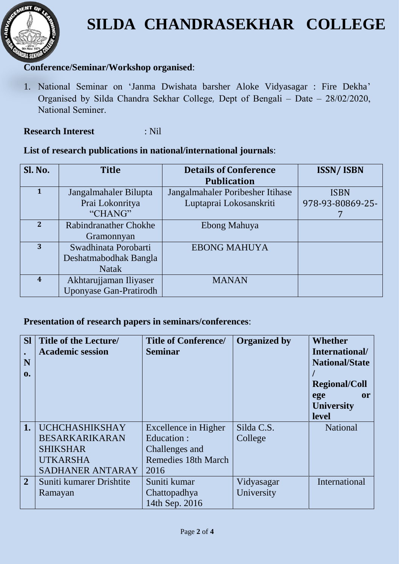

#### **Conference/Seminar/Workshop organised**:

1. National Seminar on 'Janma Dwishata barsher Aloke Vidyasagar : Fire Dekha' Organised by Silda Chandra Sekhar College, Dept of Bengali – Date – 28/02/2020, National Seminer.

#### **Research Interest** : Nil

#### **List of research publications in national/international journals**:

| Sl. No.                 | <b>Title</b>                  | <b>Details of Conference</b>     | <b>ISSN/ISBN</b> |
|-------------------------|-------------------------------|----------------------------------|------------------|
|                         |                               | <b>Publication</b>               |                  |
| $\mathbf{1}$            | Jangalmahaler Bilupta         | Jangalmahaler Poribesher Itihase | <b>ISBN</b>      |
|                         | Prai Lokonritya               | Luptaprai Lokosanskriti          | 978-93-80869-25- |
|                         | "CHANG"                       |                                  |                  |
| $\overline{2}$          | <b>Rabindranather Chokhe</b>  | Ebong Mahuya                     |                  |
|                         | Gramonnyan                    |                                  |                  |
| 3                       | Swadhinata Porobarti          | <b>EBONG MAHUYA</b>              |                  |
|                         | Deshatmabodhak Bangla         |                                  |                  |
|                         | <b>Natak</b>                  |                                  |                  |
| $\overline{\mathbf{4}}$ | Akhtarujjaman Iliyaser        | <b>MANAN</b>                     |                  |
|                         | <b>Uponyase Gan-Pratirodh</b> |                                  |                  |

#### **Presentation of research papers in seminars/conferences**:

| <b>SI</b><br>$\bullet$<br>N<br>$\mathbf{0}$ . | <b>Title of the Lecture/</b><br><b>Academic session</b> | <b>Title of Conference/</b><br><b>Seminar</b> | <b>Organized by</b> | <b>Whether</b><br>International/<br><b>National/State</b><br><b>Regional/Coll</b><br>ege<br>or<br><b>University</b><br>level |
|-----------------------------------------------|---------------------------------------------------------|-----------------------------------------------|---------------------|------------------------------------------------------------------------------------------------------------------------------|
| 1.                                            | <b>UCHCHASHIKSHAY</b>                                   | Excellence in Higher                          | Silda C.S.          | <b>National</b>                                                                                                              |
|                                               | <b>BESARKARIKARAN</b>                                   | Education:                                    | College             |                                                                                                                              |
|                                               | <b>SHIKSHAR</b>                                         | Challenges and                                |                     |                                                                                                                              |
|                                               | <b>UTKARSHA</b>                                         | <b>Remedies 18th March</b>                    |                     |                                                                                                                              |
|                                               | SADHANER ANTARAY                                        | 2016                                          |                     |                                                                                                                              |
| $\overline{2}$                                | Suniti kumarer Drishtite                                | Suniti kumar                                  | Vidyasagar          | International                                                                                                                |
|                                               | Ramayan                                                 | Chattopadhya                                  | University          |                                                                                                                              |
|                                               |                                                         | 14th Sep. 2016                                |                     |                                                                                                                              |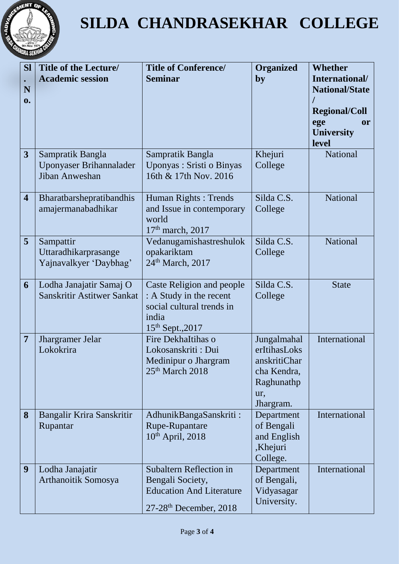

| <b>SI</b><br>N<br>0.    | <b>Title of the Lecture/</b><br><b>Academic session</b>       | <b>Title of Conference/</b><br><b>Seminar</b>                                                                                 | <b>Organized</b><br>by                                                                       | <b>Whether</b><br>International/<br><b>National/State</b><br><b>Regional/Coll</b><br>ege<br><b>or</b><br><b>University</b><br>level |
|-------------------------|---------------------------------------------------------------|-------------------------------------------------------------------------------------------------------------------------------|----------------------------------------------------------------------------------------------|-------------------------------------------------------------------------------------------------------------------------------------|
| 3                       | Sampratik Bangla<br>Uponyaser Brihannalader<br>Jiban Anweshan | Sampratik Bangla<br>Uponyas: Sristi o Binyas<br>16th & 17th Nov. 2016                                                         | Khejuri<br>College                                                                           | <b>National</b>                                                                                                                     |
| $\overline{\mathbf{4}}$ | Bharatbarshepratibandhis<br>amajermanabadhikar                | Human Rights: Trends<br>and Issue in contemporary<br>world<br>$17th$ march, 2017                                              | Silda C.S.<br>College                                                                        | National                                                                                                                            |
| 5                       | Sampattir<br>Uttaradhikarprasange<br>Yajnavalkyer 'Daybhag'   | Vedanugamishastreshulok<br>opakariktam<br>24 <sup>th</sup> March, 2017                                                        | Silda C.S.<br>College                                                                        | <b>National</b>                                                                                                                     |
| 6                       | Lodha Janajatir Samaj O<br>Sanskritir Astitwer Sankat         | Caste Religion and people<br>: A Study in the recent<br>social cultural trends in<br>india<br>$15^{th}$ Sept., 2017           | Silda C.S.<br>College                                                                        | <b>State</b>                                                                                                                        |
| $\overline{7}$          | Jhargramer Jelar<br>Lokokrira                                 | Fire DekhaItihas o<br>Lokosanskriti: Dui<br>Medinipur o Jhargram<br>25 <sup>th</sup> March 2018                               | Jungalmahal<br>erItihasLoks<br>anskritiChar<br>cha Kendra,<br>Raghunathp<br>ur,<br>Jhargram. | International                                                                                                                       |
| 8                       | Bangalir Krira Sanskritir<br>Rupantar                         | AdhunikBangaSanskriti:<br>Rupe-Rupantare<br>$10th$ April, 2018                                                                | Department<br>of Bengali<br>and English<br>,Khejuri<br>College.                              | International                                                                                                                       |
| 9                       | Lodha Janajatir<br>Arthanoitik Somosya                        | <b>Subaltern Reflection in</b><br>Bengali Society,<br><b>Education And Literature</b><br>$27-28$ <sup>th</sup> December, 2018 | Department<br>of Bengali,<br>Vidyasagar<br>University.                                       | International                                                                                                                       |